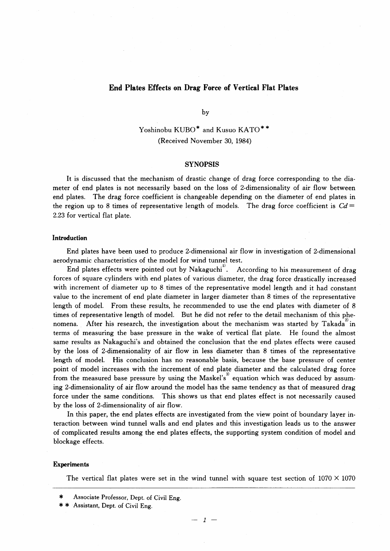# End Plates Effects on Drag Force of Vertical Flat Plates

by

Yoshinobu KUBO<sup>\*</sup> and Kusuo KATO<sup>\*\*</sup> (Received November 30, 1984)

# **SYNOPSIS**

 It is discussed that the mechanism of drastic change of drag force corresponding to the diameter of end plates is not necessarily based on the loss of 2-dimensionality of air flow between end plates. The drag force coefficient is changeable depending on the diameter of end plates in the region up to 8 times of representative length of models. The drag force coefficient is  $Cd=$ 2.23 for vertical flat plate.

### Introduction

 End plates have been used to produce 2-dimensional air flow in investigation of 2-dimensional aerodynamic characteristics of the model for wind tunnel test.

End plates effects were pointed out by Nakaguchi<sup>11</sup>. According to his measurement of drag forces of square cylinders with end plates of various diameter, the drag force drastically increased with increment of diameter up to 8 times of the representative model length and it had constant value to the increment of end plate diameter in larger diameter than 8 times of the representative length of model. From these results, he recommended to use the end plates with diameter of 8 times of representative length of model. But he did not refer to the detail mechanism of this phenomena. After his research, the investigation about the mechanism was started by Takada<sup>2</sup> in terms of measuring the base pressure in the wake of vertical flat plate. He found the almost same results as Nakaguchi's and obtained the conclusion that the end plates effects were caused by the loss of 2-dimensionality of air flow in less diameter than 8 times of the representative length of model. His conclusion has no reasonable basis, because the base pressure of center point of model increases with the increment of end plate diameter and the calculated drag force from the measured base pressure by using the Maskel's<sup>3</sup> equation which was deduced by assuming 2-dimensionality of air flow around the model has the same tendency as that of measured drag force under the same conditions. This shows us that end plates effect is not necessarily caused by the loss of 2-dimensionality of air flow.

 In this paper, the end plates effects are investigated from the view point of boundary layer interaction between wind tunnel walls and end plates and this investigation leads us to the answer of complicated results among the end plates effects, the supporting system condition of model and blockage effects.

#### Experiments

The vertical flat plates were set in the wind tunnel with square test section of  $1070 \times 1070$ 

 $-1$ 

Associate Professor, Dept. of Civil Eng.

<sup>\* \*</sup> Assistant, Dept. of Civil Eng.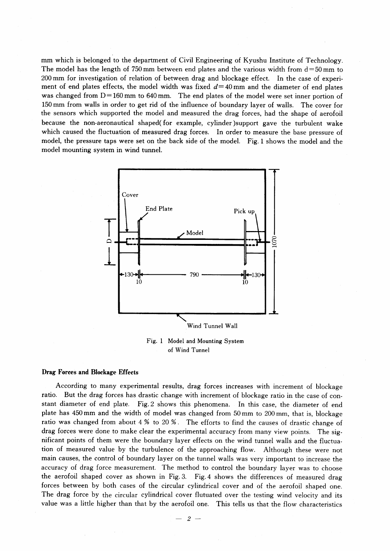mm which is belonged to the department of Civil Engineering of Kyushu Institute of Technology. The model has the length of 750 mm between end plates and the various width from  $d=50$  mm to 200mm for investigation of relation of between drag and blockage effect. In the case of experiment of end plates effects, the model width was fixed  $d=40$  mm and the diameter of end plates was changed from  $D=160$  mm to 640 mm. The end plates of the model were set inner portion of 150 mm from walls in order to get rid of the influence of boundary layer of walls. The cover for the sensors which supported the model and measured the drag forces, had the shape of aerofoil because the non-aeronautical shaped(for example, cylinder)support gave the turbulent wake which caused the fluctuation of measured drag forces. In order to measure the base pressure of model, the pressure taps were set on the back side of the model. Fig. 1 shows the model and the model mounting system in wind tunnel.



Fig. 1 Model and Mounting System of Wind Tunnel

# Drag Forces and Blockage Effects

 According to many experimental results, drag forces increases with increment of blockage ratio. But the drag forces has drastic change with increment of blockage ratio in the case of constant diameter of end plate. Fig.2 shows this phenomena. In this case, the diameter of end plate has 450 mm and the width of model was changed from 50 mm to 200 mm, that is, blockage ratio was changed from about  $4\%$  to  $20\%$ . The efforts to find the causes of drastic change of drag forces were done to make clear the experimental accuracy from many view points. The significant points of them were the boundary layer effects on the wind tunnel walls and the fluctuation of measured value by the turbulence of the approaching flow. Although these were not main causes, the control of boundary layer on the tunnel walls was very important to increase the accuracy of drag force measurement. The method to control the boundary layer was to choose the aerofoil shaped cover as shown in Fig.3. Fig.4 shows the differences of measured drag forces between by both cases of the circular cylindrical cover and of the aerofoil shaped one. The drag force by the circular cylindrical cover flutuated over the testing wind velocity and its value was a little higher than that by the aerofoil one. This tells us that the flow characteristics

 $-2-$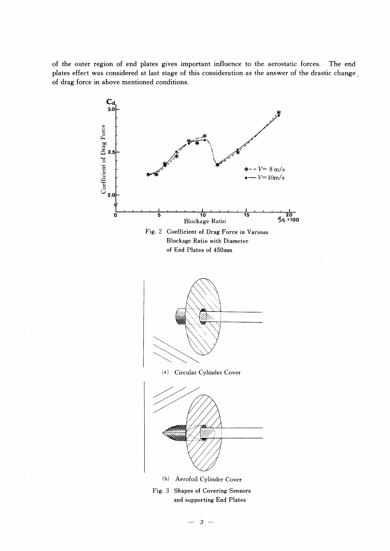of the outer region of end plates gives important influence to the aerostatic forces. The end plates effect was considered at last stage of this consideration as the answer of the drastic change . of drag force in above mentioned conditions.



 $-3-$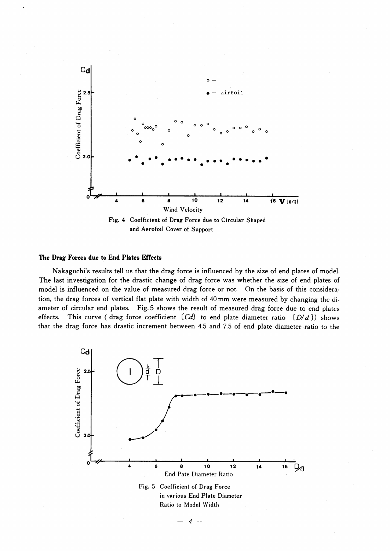

# The Drag Forces due to End Plates Effects

Nakaguchi's results tell us that the drag force is influenced by the size of end plates of model. The last investigation for the drastic change of drag force was whether the size of end plates of model is influenced on the value of measured drag force or not. On the basis of this consideration, the drag forces of vertical flat plate with width of 40 mm were measured by changing the diameter of circular end plates. Fig. 5 shows the result of measured drag force due to end plates effects. This curve (drag force coefficient  $[Cd]$  to end plate diameter ratio  $[D/d])$  shows that the drag force has drastic increment between 4.5 and 7.5 of end plate diameter ratio to the



4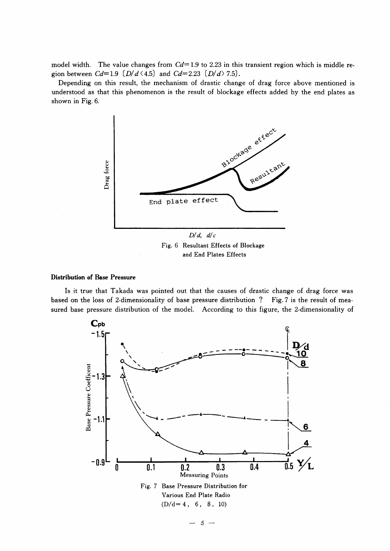model width. The value changes from  $Cd=1.9$  to 2.23 in this transient region which is middle region between  $Cd=1.9$   $[D/d \langle 4.5]$  and  $Cd=2.23$   $[D/d \rangle 7.5]$ .

Depending on this result, the mechanism of drastic change of drag force above mentioned is understood as that this phenomenon is the result of blockage effects added by the end plates as shown in Fig. 6.



Fig. 6 Resultant Effects of Blockage and End Plates Effects

## **Distribution of Base Pressure**

Is it true that Takada was pointed out that the causes of drastic change of drag force was based on the loss of 2-dimensionality of base pressure distribution ? Fig. 7 is the result of measured base pressure distribution of the model. According to this figure, the 2-dimensionality of



 $5 -$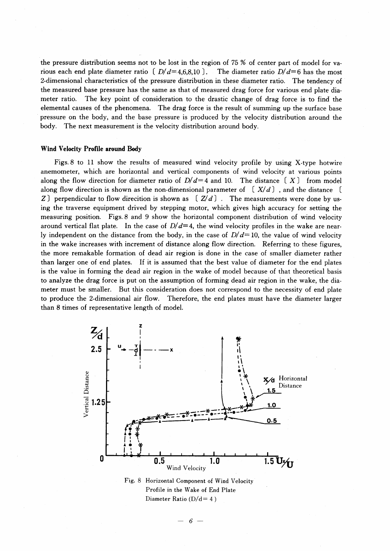the pressure distribution seems not to be lost in the region of  $75\%$  of center part of model for various each end plate diameter ratio  $[D/d=4,6,8,10]$ . The diameter ratio  $D/d=6$  has the most 2-dimensional characteristics of the pressure distribution in these diameter ratio. The tendency of the measured base pressure has the same as that of measured drag force for various end plate diameter ratio. The key point of consideration to the drastic change of drag force is to find the elemental causes of the phenomena. The drag force is the result of summing up the surface base pressure on the body, and the base pressure is produced by the velocity distribution around the body. The next measurement is the velocity distribution around body.

#### Wind Velocity Profile around Body

 Figs.8 to 11 show the results of measured wind velocity profile by using X-type hotwire anemometer, which are horizontal and vertical components of wind velocity at various points along the flow direction for diameter ratio of  $D/d=4$  and 10. The distance  $(X)$  from model along flow direction is shown as the non-dimensional parameter of  $(X/d)$ , and the distance [ Z) perpendicular to flow direcition is shown as  $(Z/d)$ . The measurements were done by using the traverse equipment drived by stepping motor, which gives high accuracy for setting the measuring position. Figs.8 and 9 show the horizontal component distribution of wind velocity around vertical flat plate. In the case of  $D/d=4$ , the wind velocity profiles in the wake are nearly independent on the distance from the body, in the case of  $D/d=10$ , the value of wind velocity in the wake increases with increment of distance along flow direction. Referring to these figures, the more remakable formation of dead air region is done in the case of smaller diameter rather than larger one of end plates. If it is assumed that the best value of diameter for the end plates is the value in forming the dead air region in the wake of model because of that theoretical basis to analyze the drag force is put on the assumption of forming dead air region in the wake, the diameter must be smaller. But this consideration does not correspond to the necessity of end plate to produce the 2-dimensional air flow. Therefore, the end plates must have the diameter larger than 8 times of representative length of model.



Diameter Ratio ( $D/d=4$ )

 $6-$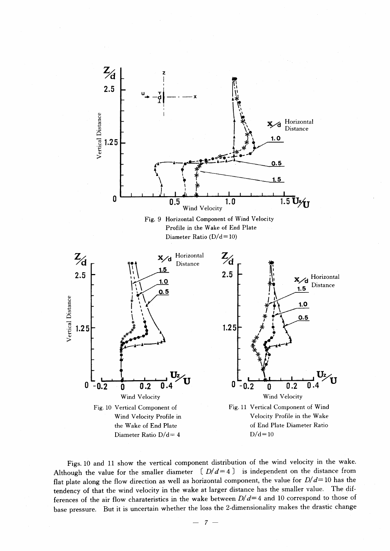

Figs. 10 and 11 show the vertical component distribution of the wind velocity in the wake. Although the value for the smaller diameter  $(D/d=4)$  is independent on the distance from flat plate along the flow direction as well as horizontal component, the value for  $D/d=10$  has the tendency of that the wind velocity in the wake at larger distance has the smaller value. The differences of the air flow charateristics in the wake between  $D/d=4$  and 10 correspond to those of base pressure. But it is uncertain whether the loss the 2-dimensionality makes the drastic change